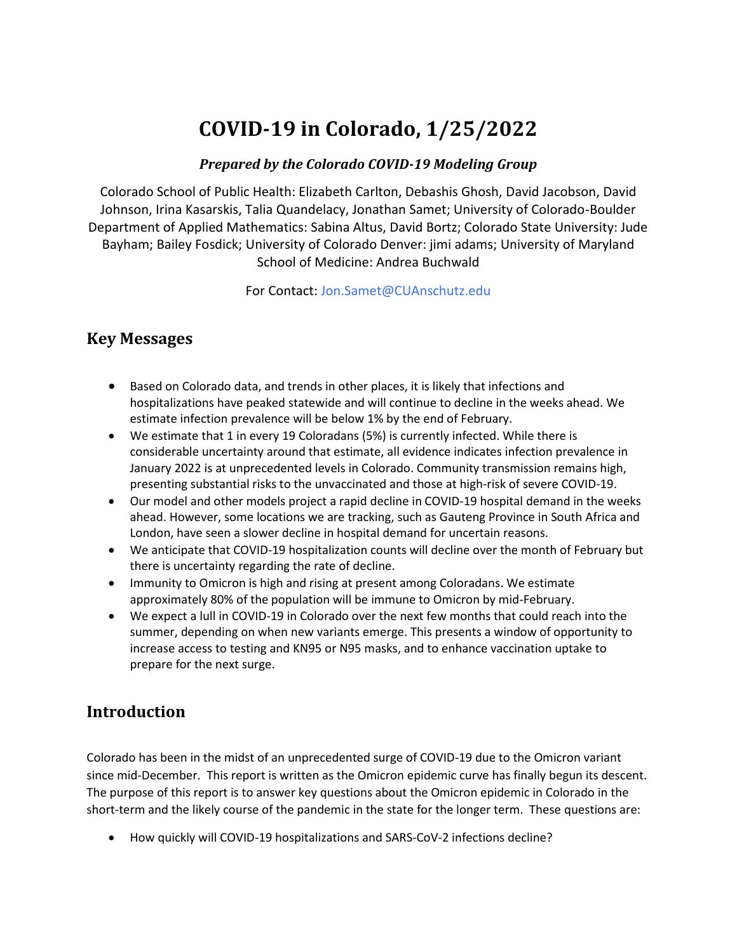# **COVID-19 in Colorado, 1/25/2022**

#### *Prepared by the Colorado COVID-19 Modeling Group*

Colorado School of Public Health: Elizabeth Carlton, Debashis Ghosh, David Jacobson, David Johnson, Irina Kasarskis, Talia Quandelacy, Jonathan Samet; University of Colorado-Boulder Department of Applied Mathematics: Sabina Altus, David Bortz; Colorado State University: Jude Bayham; Bailey Fosdick; University of Colorado Denver: jimi adams; University of Maryland School of Medicine: Andrea Buchwald

For Contact[: Jon.Samet@CUAnschutz.edu](mailto:Jon.Samet@CUAnschutz.edu)

### **Key Messages**

- Based on Colorado data, and trends in other places, it is likely that infections and hospitalizations have peaked statewide and will continue to decline in the weeks ahead. We estimate infection prevalence will be below 1% by the end of February.
- We estimate that 1 in every 19 Coloradans (5%) is currently infected. While there is considerable uncertainty around that estimate, all evidence indicates infection prevalence in January 2022 is at unprecedented levels in Colorado. Community transmission remains high, presenting substantial risks to the unvaccinated and those at high-risk of severe COVID-19.
- Our model and other models project a rapid decline in COVID-19 hospital demand in the weeks ahead. However, some locations we are tracking, such as Gauteng Province in South Africa and London, have seen a slower decline in hospital demand for uncertain reasons.
- We anticipate that COVID-19 hospitalization counts will decline over the month of February but there is uncertainty regarding the rate of decline.
- Immunity to Omicron is high and rising at present among Coloradans. We estimate approximately 80% of the population will be immune to Omicron by mid-February.
- We expect a lull in COVID-19 in Colorado over the next few months that could reach into the summer, depending on when new variants emerge. This presents a window of opportunity to increase access to testing and KN95 or N95 masks, and to enhance vaccination uptake to prepare for the next surge.

### **Introduction**

Colorado has been in the midst of an unprecedented surge of COVID-19 due to the Omicron variant since mid-December. This report is written as the Omicron epidemic curve has finally begun its descent. The purpose of this report is to answer key questions about the Omicron epidemic in Colorado in the short-term and the likely course of the pandemic in the state for the longer term. These questions are:

• How quickly will COVID-19 hospitalizations and SARS-CoV-2 infections decline?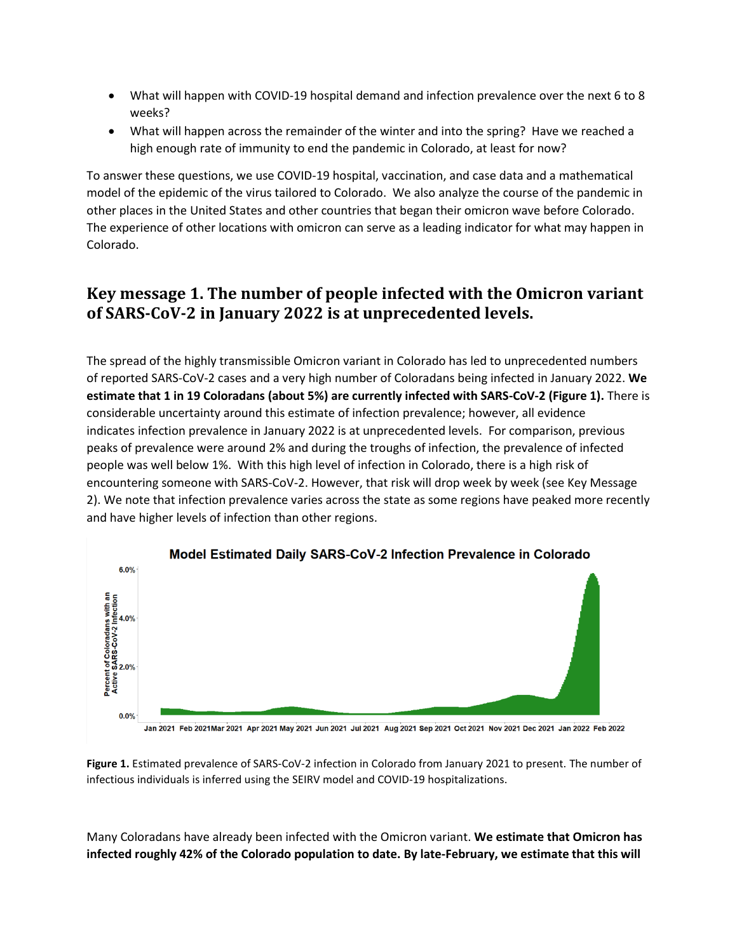- What will happen with COVID-19 hospital demand and infection prevalence over the next 6 to 8 weeks?
- What will happen across the remainder of the winter and into the spring? Have we reached a high enough rate of immunity to end the pandemic in Colorado, at least for now?

To answer these questions, we use COVID-19 hospital, vaccination, and case data and a mathematical model of the epidemic of the virus tailored to Colorado. We also analyze the course of the pandemic in other places in the United States and other countries that began their omicron wave before Colorado. The experience of other locations with omicron can serve as a leading indicator for what may happen in Colorado.

### **Key message 1. The number of people infected with the Omicron variant of SARS-CoV-2 in January 2022 is at unprecedented levels.**

The spread of the highly transmissible Omicron variant in Colorado has led to unprecedented numbers of reported SARS-CoV-2 cases and a very high number of Coloradans being infected in January 2022. **We estimate that 1 in 19 Coloradans (about 5%) are currently infected with SARS-CoV-2 (Figure 1).** There is considerable uncertainty around this estimate of infection prevalence; however, all evidence indicates infection prevalence in January 2022 is at unprecedented levels. For comparison, previous peaks of prevalence were around 2% and during the troughs of infection, the prevalence of infected people was well below 1%. With this high level of infection in Colorado, there is a high risk of encountering someone with SARS-CoV-2. However, that risk will drop week by week (see Key Message 2). We note that infection prevalence varies across the state as some regions have peaked more recently and have higher levels of infection than other regions.



#### Model Estimated Daily SARS-CoV-2 Infection Prevalence in Colorado

Jan 2021 Feb 2021Mar 2021 Apr 2021 May 2021 Jun 2021 Jul 2021 Aug 2021 Sep 2021 Oct 2021 Nov 2021 Dec 2021 Jan 2022 Feb 2022

**Figure 1.** Estimated prevalence of SARS-CoV-2 infection in Colorado from January 2021 to present. The number of infectious individuals is inferred using the SEIRV model and COVID-19 hospitalizations.

Many Coloradans have already been infected with the Omicron variant. **We estimate that Omicron has infected roughly 42% of the Colorado population to date. By late-February, we estimate that this will**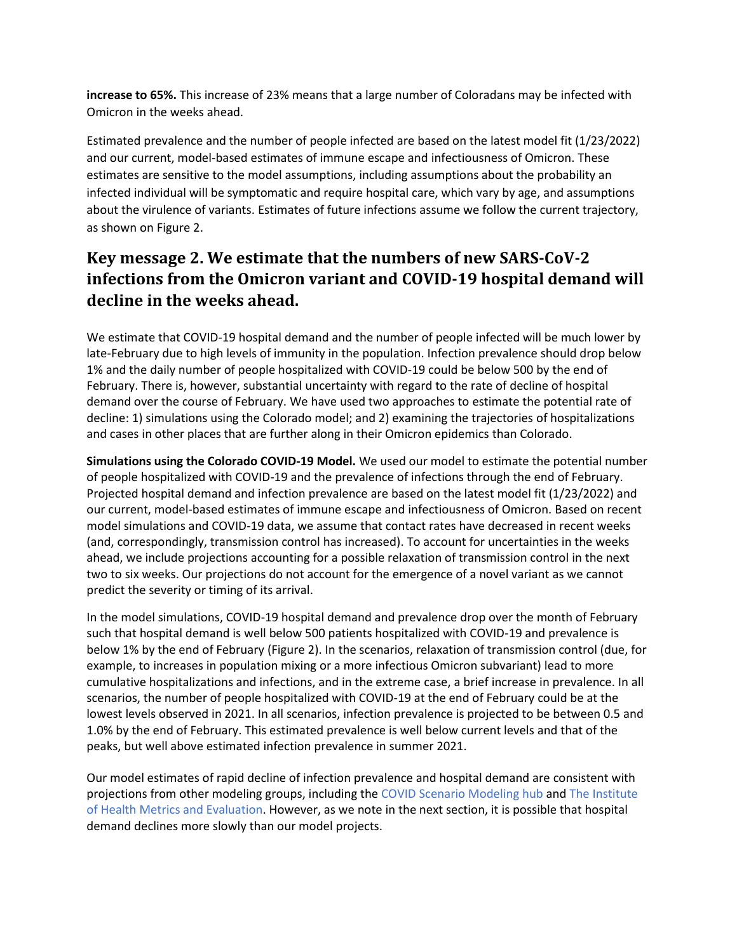**increase to 65%.** This increase of 23% means that a large number of Coloradans may be infected with Omicron in the weeks ahead.

Estimated prevalence and the number of people infected are based on the latest model fit (1/23/2022) and our current, model-based estimates of immune escape and infectiousness of Omicron. These estimates are sensitive to the model assumptions, including assumptions about the probability an infected individual will be symptomatic and require hospital care, which vary by age, and assumptions about the virulence of variants. Estimates of future infections assume we follow the current trajectory, as shown on Figure 2.

## **Key message 2. We estimate that the numbers of new SARS-CoV-2 infections from the Omicron variant and COVID-19 hospital demand will decline in the weeks ahead.**

We estimate that COVID-19 hospital demand and the number of people infected will be much lower by late-February due to high levels of immunity in the population. Infection prevalence should drop below 1% and the daily number of people hospitalized with COVID-19 could be below 500 by the end of February. There is, however, substantial uncertainty with regard to the rate of decline of hospital demand over the course of February. We have used two approaches to estimate the potential rate of decline: 1) simulations using the Colorado model; and 2) examining the trajectories of hospitalizations and cases in other places that are further along in their Omicron epidemics than Colorado.

**Simulations using the Colorado COVID-19 Model.** We used our model to estimate the potential number of people hospitalized with COVID-19 and the prevalence of infections through the end of February. Projected hospital demand and infection prevalence are based on the latest model fit (1/23/2022) and our current, model-based estimates of immune escape and infectiousness of Omicron. Based on recent model simulations and COVID-19 data, we assume that contact rates have decreased in recent weeks (and, correspondingly, transmission control has increased). To account for uncertainties in the weeks ahead, we include projections accounting for a possible relaxation of transmission control in the next two to six weeks. Our projections do not account for the emergence of a novel variant as we cannot predict the severity or timing of its arrival.

In the model simulations, COVID-19 hospital demand and prevalence drop over the month of February such that hospital demand is well below 500 patients hospitalized with COVID-19 and prevalence is below 1% by the end of February (Figure 2). In the scenarios, relaxation of transmission control (due, for example, to increases in population mixing or a more infectious Omicron subvariant) lead to more cumulative hospitalizations and infections, and in the extreme case, a brief increase in prevalence. In all scenarios, the number of people hospitalized with COVID-19 at the end of February could be at the lowest levels observed in 2021. In all scenarios, infection prevalence is projected to be between 0.5 and 1.0% by the end of February. This estimated prevalence is well below current levels and that of the peaks, but well above estimated infection prevalence in summer 2021.

Our model estimates of rapid decline of infection prevalence and hospital demand are consistent with projections from other modeling groups, including th[e COVID Scenario Modeling hub](https://covid19scenariomodelinghub.org/viz.html) and [The Institute](https://covid19.healthdata.org/united-states-of-america/colorado?view=cumulative-deaths&tab=trend)  [of Health Metrics and Evaluation.](https://covid19.healthdata.org/united-states-of-america/colorado?view=cumulative-deaths&tab=trend) However, as we note in the next section, it is possible that hospital demand declines more slowly than our model projects.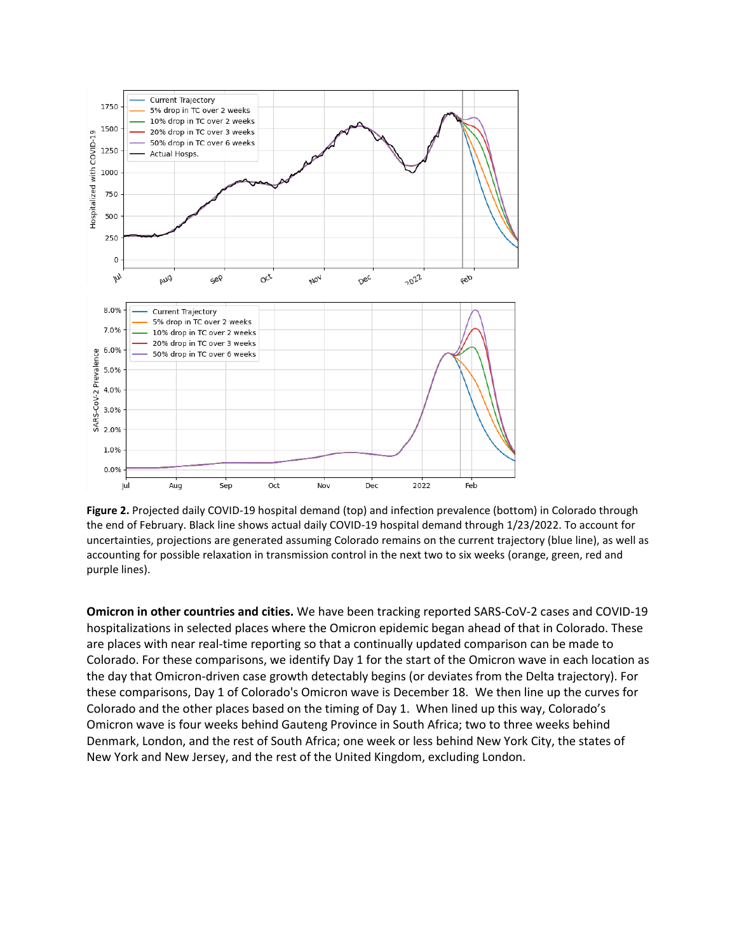

**Figure 2.** Projected daily COVID-19 hospital demand (top) and infection prevalence (bottom) in Colorado through the end of February. Black line shows actual daily COVID-19 hospital demand through 1/23/2022. To account for uncertainties, projections are generated assuming Colorado remains on the current trajectory (blue line), as well as accounting for possible relaxation in transmission control in the next two to six weeks (orange, green, red and purple lines).

**Omicron in other countries and cities.** We have been tracking reported SARS-CoV-2 cases and COVID-19 hospitalizations in selected places where the Omicron epidemic began ahead of that in Colorado. These are places with near real-time reporting so that a continually updated comparison can be made to Colorado. For these comparisons, we identify Day 1 for the start of the Omicron wave in each location as the day that Omicron-driven case growth detectably begins (or deviates from the Delta trajectory). For these comparisons, Day 1 of Colorado's Omicron wave is December 18. We then line up the curves for Colorado and the other places based on the timing of Day 1. When lined up this way, Colorado's Omicron wave is four weeks behind Gauteng Province in South Africa; two to three weeks behind Denmark, London, and the rest of South Africa; one week or less behind New York City, the states of New York and New Jersey, and the rest of the United Kingdom, excluding London.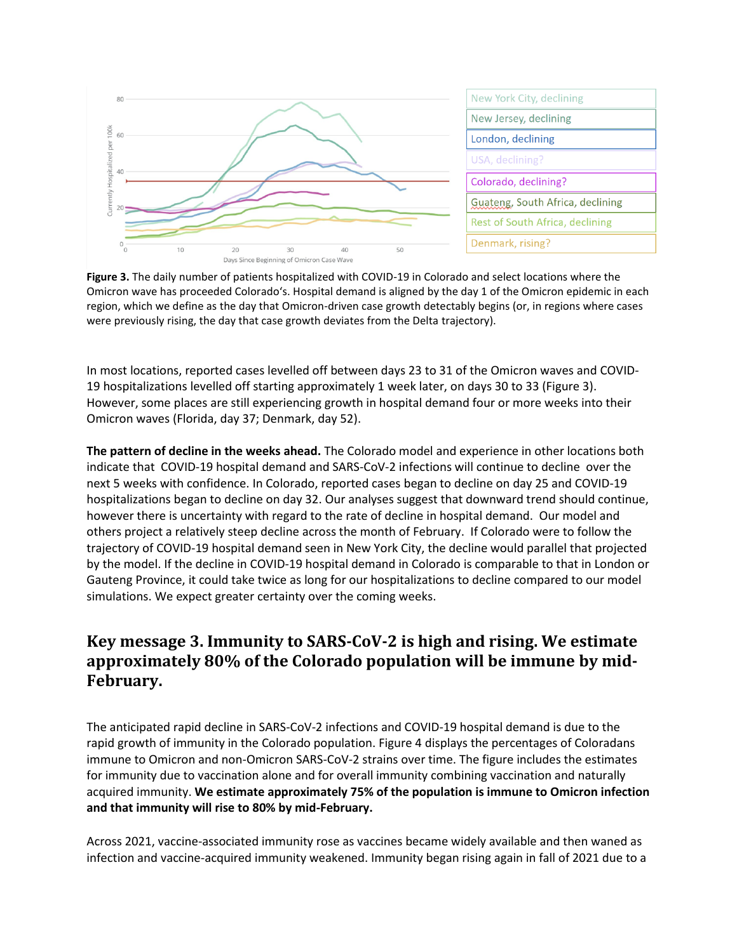



**Figure 3.** The daily number of patients hospitalized with COVID-19 in Colorado and select locations where the Omicron wave has proceeded Colorado's. Hospital demand is aligned by the day 1 of the Omicron epidemic in each region, which we define as the day that Omicron-driven case growth detectably begins (or, in regions where cases were previously rising, the day that case growth deviates from the Delta trajectory).

In most locations, reported cases levelled off between days 23 to 31 of the Omicron waves and COVID-19 hospitalizations levelled off starting approximately 1 week later, on days 30 to 33 (Figure 3). However, some places are still experiencing growth in hospital demand four or more weeks into their Omicron waves (Florida, day 37; Denmark, day 52).

**The pattern of decline in the weeks ahead.** The Colorado model and experience in other locations both indicate that COVID-19 hospital demand and SARS-CoV-2 infections will continue to decline over the next 5 weeks with confidence. In Colorado, reported cases began to decline on day 25 and COVID-19 hospitalizations began to decline on day 32. Our analyses suggest that downward trend should continue, however there is uncertainty with regard to the rate of decline in hospital demand. Our model and others project a relatively steep decline across the month of February. If Colorado were to follow the trajectory of COVID-19 hospital demand seen in New York City, the decline would parallel that projected by the model. If the decline in COVID-19 hospital demand in Colorado is comparable to that in London or Gauteng Province, it could take twice as long for our hospitalizations to decline compared to our model simulations. We expect greater certainty over the coming weeks.

### **Key message 3. Immunity to SARS-CoV-2 is high and rising. We estimate approximately 80% of the Colorado population will be immune by mid-February.**

The anticipated rapid decline in SARS-CoV-2 infections and COVID-19 hospital demand is due to the rapid growth of immunity in the Colorado population. Figure 4 displays the percentages of Coloradans immune to Omicron and non-Omicron SARS-CoV-2 strains over time. The figure includes the estimates for immunity due to vaccination alone and for overall immunity combining vaccination and naturally acquired immunity. **We estimate approximately 75% of the population is immune to Omicron infection and that immunity will rise to 80% by mid-February.**

Across 2021, vaccine-associated immunity rose as vaccines became widely available and then waned as infection and vaccine-acquired immunity weakened. Immunity began rising again in fall of 2021 due to a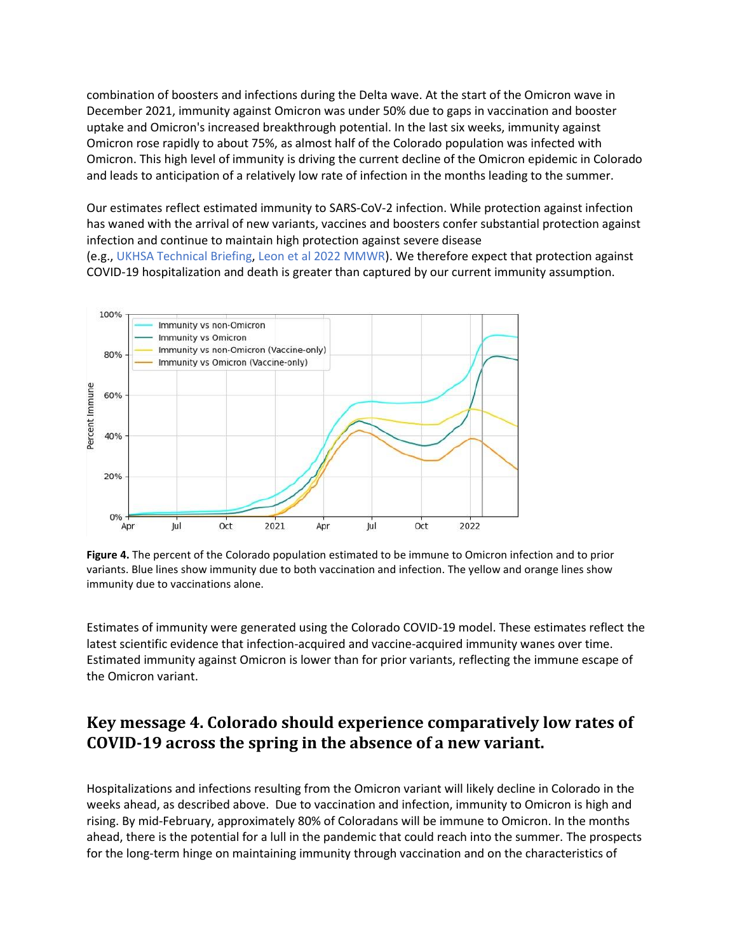combination of boosters and infections during the Delta wave. At the start of the Omicron wave in December 2021, immunity against Omicron was under 50% due to gaps in vaccination and booster uptake and Omicron's increased breakthrough potential. In the last six weeks, immunity against Omicron rose rapidly to about 75%, as almost half of the Colorado population was infected with Omicron. This high level of immunity is driving the current decline of the Omicron epidemic in Colorado and leads to anticipation of a relatively low rate of infection in the months leading to the summer.

Our estimates reflect estimated immunity to SARS-CoV-2 infection. While protection against infection has waned with the arrival of new variants, vaccines and boosters confer substantial protection against infection and continue to maintain high protection against severe disease (e.g., [UKHSA Technical Briefing,](https://assets.publishing.service.gov.uk/government/uploads/system/uploads/attachment_data/file/1044481/Technical-Briefing-31-Dec-2021-Omicron_severity_update.pdf) [Leon et al 2022 MMWR\)](https://www.cdc.gov/mmwr/volumes/71/wr/mm7104e1.htm). We therefore expect that protection against

COVID-19 hospitalization and death is greater than captured by our current immunity assumption.



**Figure 4.** The percent of the Colorado population estimated to be immune to Omicron infection and to prior variants. Blue lines show immunity due to both vaccination and infection. The yellow and orange lines show immunity due to vaccinations alone.

Estimates of immunity were generated using the Colorado COVID-19 model. These estimates reflect the latest scientific evidence that infection-acquired and vaccine-acquired immunity wanes over time. Estimated immunity against Omicron is lower than for prior variants, reflecting the immune escape of the Omicron variant.

### **Key message 4. Colorado should experience comparatively low rates of COVID-19 across the spring in the absence of a new variant.**

Hospitalizations and infections resulting from the Omicron variant will likely decline in Colorado in the weeks ahead, as described above. Due to vaccination and infection, immunity to Omicron is high and rising. By mid-February, approximately 80% of Coloradans will be immune to Omicron. In the months ahead, there is the potential for a lull in the pandemic that could reach into the summer. The prospects for the long-term hinge on maintaining immunity through vaccination and on the characteristics of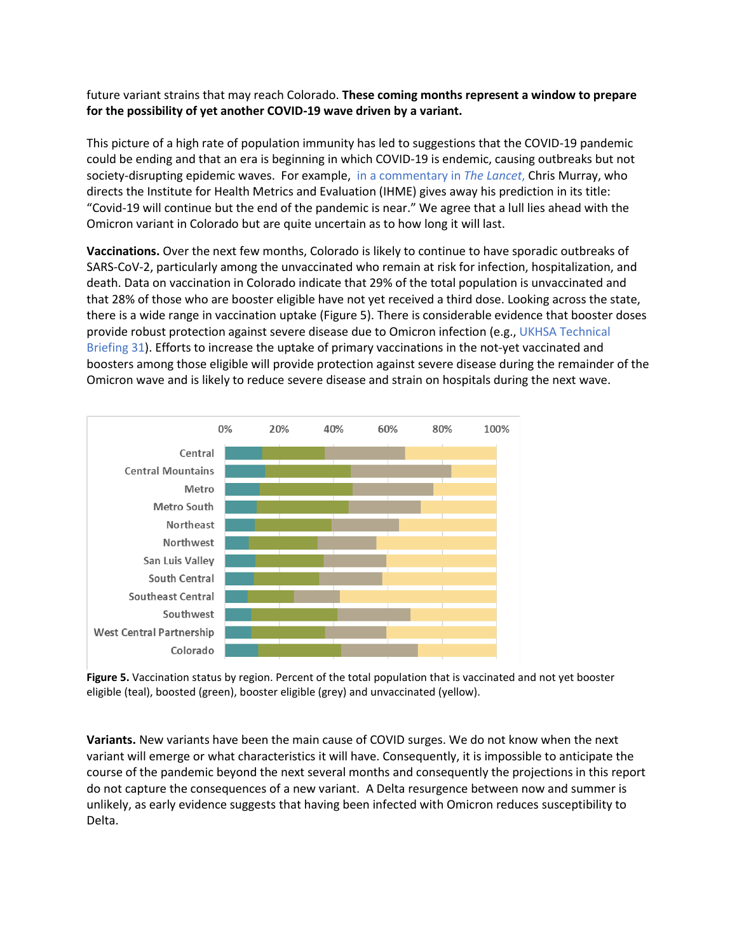future variant strains that may reach Colorado. **These coming months represent a window to prepare for the possibility of yet another COVID-19 wave driven by a variant.** 

This picture of a high rate of population immunity has led to suggestions that the COVID-19 pandemic could be ending and that an era is beginning in which COVID-19 is endemic, causing outbreaks but not society-disrupting epidemic waves. For example, [in a commentary in](https://www.thelancet.com/journals/lancet/article/PIIS0140-6736(22)00100-3/fulltext) *The Lancet*, Chris Murray, who directs the Institute for Health Metrics and Evaluation (IHME) gives away his prediction in its title: "Covid-19 will continue but the end of the pandemic is near." We agree that a lull lies ahead with the Omicron variant in Colorado but are quite uncertain as to how long it will last.

**Vaccinations.** Over the next few months, Colorado is likely to continue to have sporadic outbreaks of SARS-CoV-2, particularly among the unvaccinated who remain at risk for infection, hospitalization, and death. Data on vaccination in Colorado indicate that 29% of the total population is unvaccinated and that 28% of those who are booster eligible have not yet received a third dose. Looking across the state, there is a wide range in vaccination uptake (Figure 5). There is considerable evidence that booster doses provide robust protection against severe disease due to Omicron infection (e.g.[, UKHSA Technical](https://assets.publishing.service.gov.uk/government/uploads/system/uploads/attachment_data/file/1044481/Technical-Briefing-31-Dec-2021-Omicron_severity_update.pdf)  [Briefing 31\)](https://assets.publishing.service.gov.uk/government/uploads/system/uploads/attachment_data/file/1044481/Technical-Briefing-31-Dec-2021-Omicron_severity_update.pdf). Efforts to increase the uptake of primary vaccinations in the not-yet vaccinated and boosters among those eligible will provide protection against severe disease during the remainder of the Omicron wave and is likely to reduce severe disease and strain on hospitals during the next wave.



**Figure 5.** Vaccination status by region. Percent of the total population that is vaccinated and not yet booster eligible (teal), boosted (green), booster eligible (grey) and unvaccinated (yellow).

**Variants.** New variants have been the main cause of COVID surges. We do not know when the next variant will emerge or what characteristics it will have. Consequently, it is impossible to anticipate the course of the pandemic beyond the next several months and consequently the projections in this report do not capture the consequences of a new variant. A Delta resurgence between now and summer is unlikely, as [early evidence suggests](https://www.medrxiv.org/content/10.1101/2021.12.27.21268439v1) that having been infected with Omicron reduces susceptibility to Delta.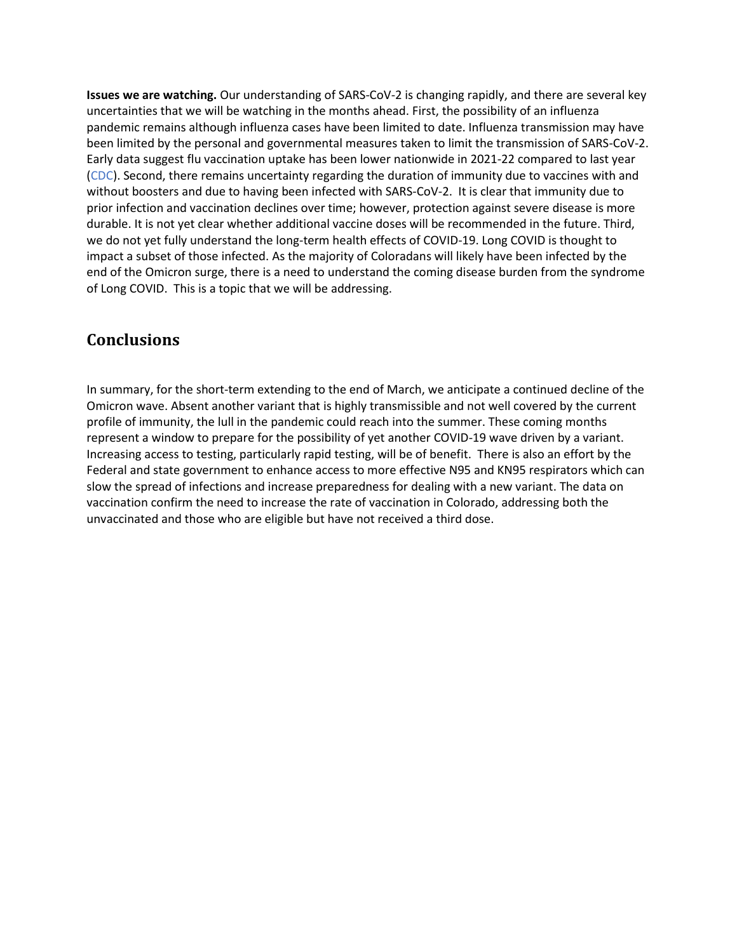**Issues we are watching.** Our understanding of SARS-CoV-2 is changing rapidly, and there are several key uncertainties that we will be watching in the months ahead. First, the possibility of an influenza pandemic remains although influenza cases have been limited to date. Influenza transmission may have been limited by the personal and governmental measures taken to limit the transmission of SARS-CoV-2. Early data suggest flu vaccination uptake has been lower nationwide in 2021-22 compared to last year [\(CDC\)](https://www.cdc.gov/flu/spotlights/2021-2022/early-vacc-coverage.htm). Second, there remains uncertainty regarding the duration of immunity due to vaccines with and without boosters and due to having been infected with SARS-CoV-2. It is clear that immunity due to prior infection and vaccination declines over time; however, protection against severe disease is more durable. It is not yet clear whether additional vaccine doses will be recommended in the future. Third, we do not yet fully understand the long-term health effects of COVID-19. Long COVID is thought to impact a subset of those infected. As the majority of Coloradans will likely have been infected by the end of the Omicron surge, there is a need to understand the coming disease burden from the syndrome of Long COVID. This is a topic that we will be addressing.

### **Conclusions**

In summary, for the short-term extending to the end of March, we anticipate a continued decline of the Omicron wave. Absent another variant that is highly transmissible and not well covered by the current profile of immunity, the lull in the pandemic could reach into the summer. These coming months represent a window to prepare for the possibility of yet another COVID-19 wave driven by a variant. Increasing access to testing, particularly rapid testing, will be of benefit. There is also an effort by the Federal and state government to enhance access to more effective N95 and KN95 respirators which can slow the spread of infections and increase preparedness for dealing with a new variant. The data on vaccination confirm the need to increase the rate of vaccination in Colorado, addressing both the unvaccinated and those who are eligible but have not received a third dose.